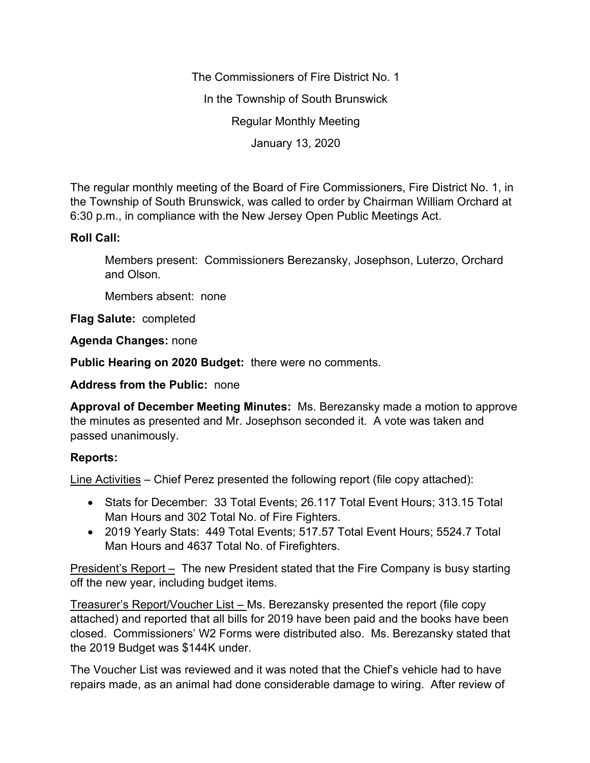The Commissioners of Fire District No. 1 In the Township of South Brunswick Regular Monthly Meeting January 13, 2020

The regular monthly meeting of the Board of Fire Commissioners, Fire District No. 1, in the Township of South Brunswick, was called to order by Chairman William Orchard at 6:30 p.m., in compliance with the New Jersey Open Public Meetings Act.

# **Roll Call:**

Members present: Commissioners Berezansky, Josephson, Luterzo, Orchard and Olson.

Members absent: none

**Flag Salute:** completed

**Agenda Changes:** none

**Public Hearing on 2020 Budget:** there were no comments.

**Address from the Public:** none

**Approval of December Meeting Minutes:** Ms. Berezansky made a motion to approve the minutes as presented and Mr. Josephson seconded it. A vote was taken and passed unanimously.

# **Reports:**

Line Activities – Chief Perez presented the following report (file copy attached):

- Stats for December: 33 Total Events; 26.117 Total Event Hours; 313.15 Total Man Hours and 302 Total No. of Fire Fighters.
- 2019 Yearly Stats: 449 Total Events; 517.57 Total Event Hours; 5524.7 Total Man Hours and 4637 Total No. of Firefighters.

President's Report – The new President stated that the Fire Company is busy starting off the new year, including budget items.

Treasurer's Report/Voucher List – Ms. Berezansky presented the report (file copy attached) and reported that all bills for 2019 have been paid and the books have been closed. Commissioners' W2 Forms were distributed also. Ms. Berezansky stated that the 2019 Budget was \$144K under.

The Voucher List was reviewed and it was noted that the Chief's vehicle had to have repairs made, as an animal had done considerable damage to wiring. After review of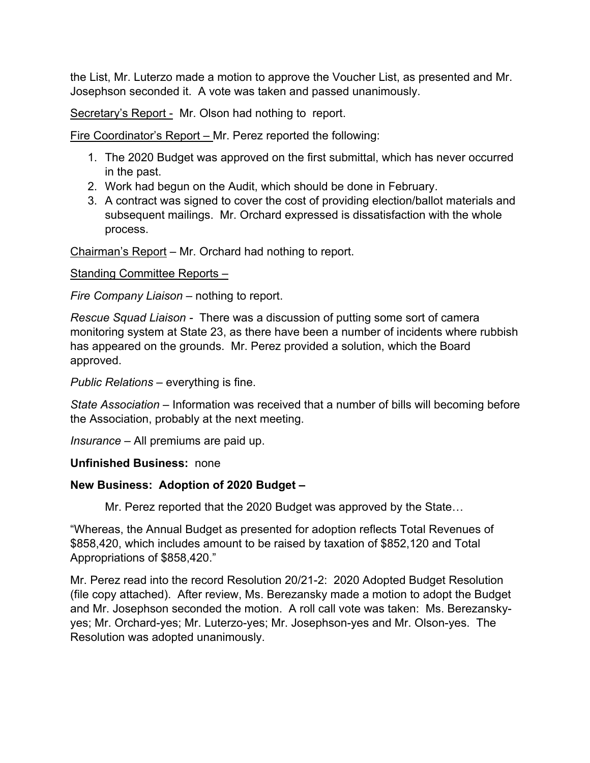the List, Mr. Luterzo made a motion to approve the Voucher List, as presented and Mr. Josephson seconded it. A vote was taken and passed unanimously.

Secretary's Report - Mr. Olson had nothing to report.

Fire Coordinator's Report – Mr. Perez reported the following:

- 1. The 2020 Budget was approved on the first submittal, which has never occurred in the past.
- 2. Work had begun on the Audit, which should be done in February.
- 3. A contract was signed to cover the cost of providing election/ballot materials and subsequent mailings. Mr. Orchard expressed is dissatisfaction with the whole process.

Chairman's Report – Mr. Orchard had nothing to report.

Standing Committee Reports –

*Fire Company Liaison –* nothing to report.

*Rescue Squad Liaison -* There was a discussion of putting some sort of camera monitoring system at State 23, as there have been a number of incidents where rubbish has appeared on the grounds. Mr. Perez provided a solution, which the Board approved.

*Public Relations –* everything is fine.

*State Association –* Information was received that a number of bills will becoming before the Association, probably at the next meeting.

*Insurance –* All premiums are paid up.

# **Unfinished Business:** none

# **New Business: Adoption of 2020 Budget –**

Mr. Perez reported that the 2020 Budget was approved by the State…

"Whereas, the Annual Budget as presented for adoption reflects Total Revenues of \$858,420, which includes amount to be raised by taxation of \$852,120 and Total Appropriations of \$858,420."

Mr. Perez read into the record Resolution 20/21-2: 2020 Adopted Budget Resolution (file copy attached). After review, Ms. Berezansky made a motion to adopt the Budget and Mr. Josephson seconded the motion. A roll call vote was taken: Ms. Berezanskyyes; Mr. Orchard-yes; Mr. Luterzo-yes; Mr. Josephson-yes and Mr. Olson-yes. The Resolution was adopted unanimously.